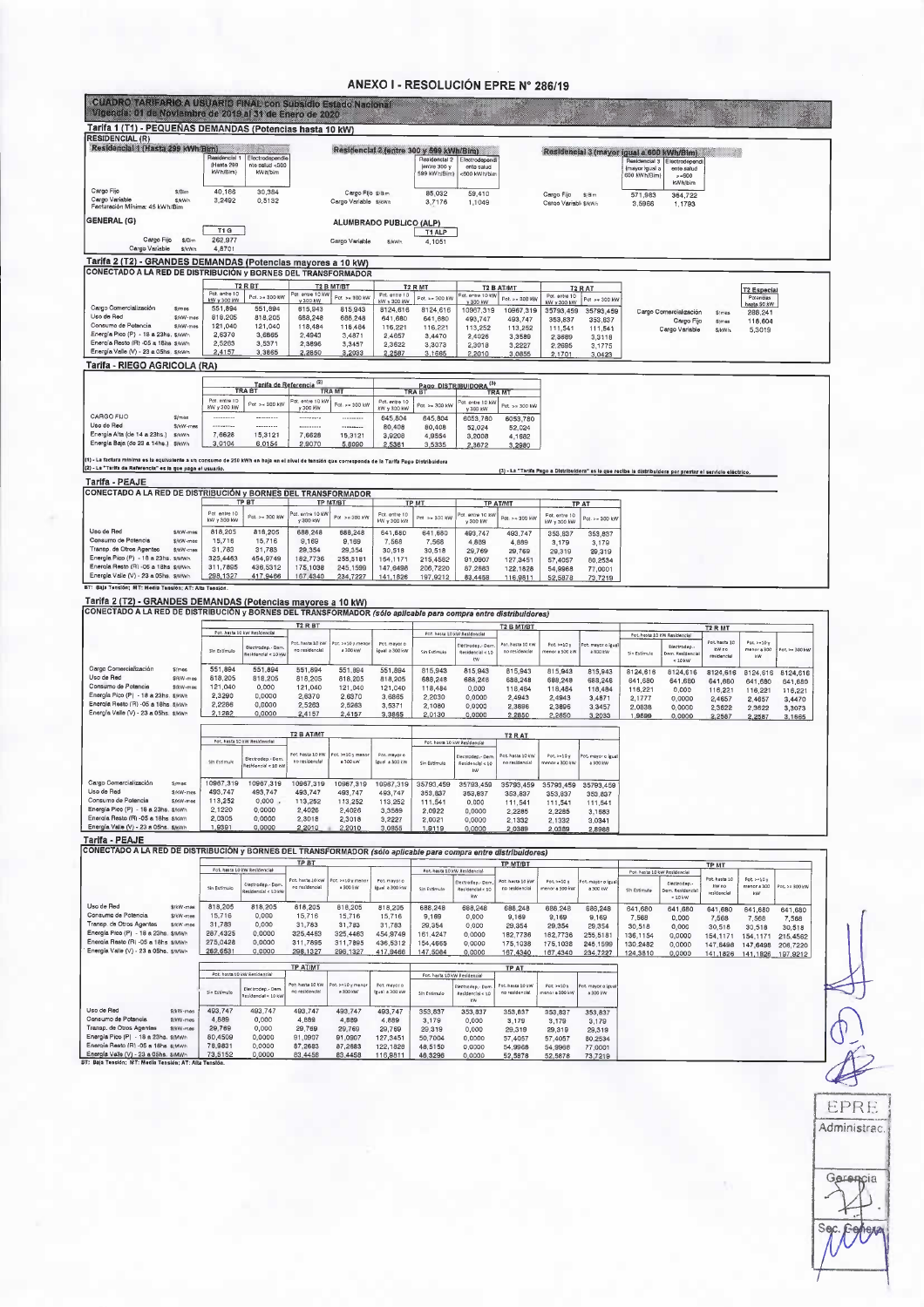### ANEXO I - RESOLUCIÓN EPRE N° 286/19

| CUADRO TARIFARIO A USUARIO FINAL con Subsidio Estado Nacional<br>Vigencia: 01 de Noviembre de 2019 al 31 de Enero de 2020                                                                                                                                                                                                                                                                                                                                                                                                                                                                                                                                     |                                         |                                                  |                                    |                                            |                                         |                                               |                                              |                                      |                                           |                                           |                                                 |                                                                                                             |                                      |                                     |                     |
|---------------------------------------------------------------------------------------------------------------------------------------------------------------------------------------------------------------------------------------------------------------------------------------------------------------------------------------------------------------------------------------------------------------------------------------------------------------------------------------------------------------------------------------------------------------------------------------------------------------------------------------------------------------|-----------------------------------------|--------------------------------------------------|------------------------------------|--------------------------------------------|-----------------------------------------|-----------------------------------------------|----------------------------------------------|--------------------------------------|-------------------------------------------|-------------------------------------------|-------------------------------------------------|-------------------------------------------------------------------------------------------------------------|--------------------------------------|-------------------------------------|---------------------|
| Tarifa 1 (T1) - PEQUEÑAS DEMANDAS (Potencias hasta 10 kW)                                                                                                                                                                                                                                                                                                                                                                                                                                                                                                                                                                                                     |                                         |                                                  |                                    |                                            |                                         |                                               |                                              |                                      |                                           |                                           |                                                 |                                                                                                             |                                      |                                     |                     |
| <b>RESIDENCIAL (R)</b><br>Residencial 1 (Hasta 299 kWh/Bim)                                                                                                                                                                                                                                                                                                                                                                                                                                                                                                                                                                                                   |                                         |                                                  |                                    |                                            | Residencial 2 (entre 300 y 599 kWh/Bim) |                                               |                                              |                                      |                                           | Residencial 3 (mayor igual a 600 kWh/Bim) |                                                 |                                                                                                             |                                      |                                     |                     |
|                                                                                                                                                                                                                                                                                                                                                                                                                                                                                                                                                                                                                                                               | Residencial 1<br>(Hasta 299<br>kWh/Bim) | Electrodependie<br>nte salud <300<br>kWh/bim     |                                    |                                            |                                         | Residencial 2<br>(entre $3001$<br>599 kWh/Bim | Electrodependi<br>ento salud<br><600 kWh/bin |                                      |                                           |                                           | Residencial 3<br>(mayor igual a<br>600 kWh/Biml | Electrodepend<br>ente satud<br>$>-600$                                                                      |                                      |                                     |                     |
| Cargo Fijo<br>\$/Birr<br>Cargo Variable<br><b>S/kWh</b><br>Facturación Mínima: 45 kWh/Bim                                                                                                                                                                                                                                                                                                                                                                                                                                                                                                                                                                     | 40,166<br>3,2492                        | 30,384<br>0.5132                                 |                                    | Cargo Fijo \$/Bim<br>Cargo Variable \$/kwh |                                         | 85,032<br>3.7176                              | 59,410<br>1,1049                             |                                      | Cargo Fijo \$/Bim<br>Cargo Variable SrkWh |                                           | 571,983<br>3,5966                               | kWh/bim<br>364,722<br>1,1793                                                                                |                                      |                                     |                     |
| <b>GENERAL (G)</b>                                                                                                                                                                                                                                                                                                                                                                                                                                                                                                                                                                                                                                            | T1 G                                    |                                                  |                                    |                                            | ALUMBRADO PUBLICO (ALP)                 | T1 ALP                                        |                                              |                                      |                                           |                                           |                                                 |                                                                                                             |                                      |                                     |                     |
| Cargo Fijo<br>\$/Bim<br>Cargo Variable<br>\$/kWh                                                                                                                                                                                                                                                                                                                                                                                                                                                                                                                                                                                                              | 262,977<br>4,8701                       |                                                  |                                    | Cargo Variable                             | <b>S/kWh</b>                            | 4,1051                                        |                                              |                                      |                                           |                                           |                                                 |                                                                                                             |                                      |                                     |                     |
| Tarifa 2 (T2) - GRANDES DEMANDAS (Potencias mayores a 10 kW)                                                                                                                                                                                                                                                                                                                                                                                                                                                                                                                                                                                                  |                                         |                                                  |                                    |                                            |                                         |                                               |                                              |                                      |                                           |                                           |                                                 |                                                                                                             |                                      |                                     |                     |
| CONECTADO A LA RED DE DISTRIBUCIÓN y BORNES DEL TRANSFORMADOR                                                                                                                                                                                                                                                                                                                                                                                                                                                                                                                                                                                                 |                                         |                                                  |                                    |                                            |                                         |                                               |                                              |                                      |                                           |                                           |                                                 |                                                                                                             |                                      |                                     |                     |
|                                                                                                                                                                                                                                                                                                                                                                                                                                                                                                                                                                                                                                                               | Pot. entre 10<br><b>kW y 300 kW</b>     | T <sub>2</sub> R <sub>BT</sub><br>Pot. >= 300 kW | Pat entre 10 kW                    | T2 B MT/BT<br>Pot >= 300 kW                | Pot. antre 10                           | T2 R MT<br>Pot. >= 300 KW                     | dt. ertre 10 kW                              | <b>T2 B AT/MT</b><br>Pot. > = 300 KW | Pot. entre 10                             | <b>T2 R AT</b><br>Pot > + 300 kW          |                                                 |                                                                                                             |                                      | <b>T2 Especial</b><br>Potencias     |                     |
| Cargo Comercialización<br><i><b>S/mes</b></i>                                                                                                                                                                                                                                                                                                                                                                                                                                                                                                                                                                                                                 | 551,894                                 | 551,894                                          | y 300 kW<br>615,943                | 815,943                                    | kW v 300 kW<br>8124,616                 | 8124,616                                      | v 300 kW<br>10967,319                        | 10967,319                            | kW y 300 kW<br>35793,459                  | 35793,459                                 |                                                 | Cargo Comercialización                                                                                      | \$/mes                               | hasta SC kW<br>288.241              |                     |
| Uso de Red<br>\$/kW-mes<br>Consumo de Potencia<br>\$/kW-mes                                                                                                                                                                                                                                                                                                                                                                                                                                                                                                                                                                                                   | 818,205<br>121,040                      | 818,205<br>121,040                               | 688,248<br>118,484                 | 688,248<br>118,484                         | 641,680<br>116,221                      | 641.680<br>116,221                            | 493,747<br>113,252                           | 493,747<br>113,252                   | 353.837<br>111,541                        | 353,837<br>111,541                        |                                                 | Cargo Fijo<br>Cargo Variable                                                                                | \$/mes<br>\$/kWh                     | 118,604<br>5,3019                   |                     |
| Energia Pico (P) - 18 a 23hs. \$/kWh<br>Energía Resto (R) -05 a 18hs \$/kWh                                                                                                                                                                                                                                                                                                                                                                                                                                                                                                                                                                                   | 2,6370<br>2,5263                        | 3,6865<br>3,5371                                 | 2,4943<br>2,3896                   | 3,4871<br>3,3457                           | 2,4657<br>2,3622                        | 3,4470<br>3,3073                              | 2,4026<br>2,3018                             | 3,3589                               | 2,3689<br>2.2695                          | 3,3118                                    |                                                 |                                                                                                             |                                      |                                     |                     |
| Energía Valle (V) - 23 a 05hs. \$/kWh                                                                                                                                                                                                                                                                                                                                                                                                                                                                                                                                                                                                                         | 2,4157                                  | 3,3865                                           | 2,2850                             | 3,2033                                     | 2,2587                                  | 3,1665                                        | 2,2010                                       | 3,2227<br>3,0855                     | 2,1701                                    | 3,1775<br>3,0423                          |                                                 |                                                                                                             |                                      |                                     |                     |
| Tarifa - RIEGO AGRICOLA (RA)                                                                                                                                                                                                                                                                                                                                                                                                                                                                                                                                                                                                                                  |                                         |                                                  |                                    |                                            |                                         |                                               |                                              |                                      |                                           |                                           |                                                 |                                                                                                             |                                      |                                     |                     |
|                                                                                                                                                                                                                                                                                                                                                                                                                                                                                                                                                                                                                                                               |                                         | <b>TRA BT</b><br>TRA BT                          |                                    | <b>TRAMT</b>                               |                                         |                                               | Pago DISTRIBUIDORA <sup>(3)</sup>            | <b>TRAMT</b>                         |                                           |                                           |                                                 |                                                                                                             |                                      |                                     |                     |
|                                                                                                                                                                                                                                                                                                                                                                                                                                                                                                                                                                                                                                                               | Pot. entre 10<br>KW v 300 kW            | Pot > < 300 kW                                   | of, entre 10 kW<br>y 300 kW        | Pot. >= 300 kW                             | Pot. entre 10<br><b>8W y 300 kW</b>     | Pot. >= 300 kW                                | ot. entre 10 kV<br>y 300 kW                  | Pot. >= 300 kW                       |                                           |                                           |                                                 |                                                                                                             |                                      |                                     |                     |
| CARGO FIJO<br>Simes<br>Uso de Red                                                                                                                                                                                                                                                                                                                                                                                                                                                                                                                                                                                                                             |                                         | ---------                                        | ---------                          |                                            | 645,804                                 | 645,804                                       | 6053,780                                     | 6053,780                             |                                           |                                           |                                                 |                                                                                                             |                                      |                                     |                     |
| \$/kW-mes<br>Energía Alta (de 14 a 23hs.)<br>\$/kWh                                                                                                                                                                                                                                                                                                                                                                                                                                                                                                                                                                                                           | 7,6628                                  | <br>15,3121                                      | <br>7,6628                         | $-0.9999999999$<br>15,3121                 | 80.408<br>3,9208                        | 80,408<br>4,9554                              | 52,024<br>3,2008                             | 52,024<br>4,1682                     |                                           |                                           |                                                 |                                                                                                             |                                      |                                     |                     |
| Energía Baja (de 23 a 14hs.) \$/kWh                                                                                                                                                                                                                                                                                                                                                                                                                                                                                                                                                                                                                           | 3,0104                                  | 6,0154                                           | 2,9070                             | 5,8090                                     | 2,5381                                  | 3.5335                                        | 2,3672                                       | 3,2980                               |                                           |                                           |                                                 |                                                                                                             |                                      |                                     |                     |
| (1) - La factura minima es la equivalente a un consumo de 250 kWh en baja en el nivel de tensión que corresponda de la Tarifa Pago Distribuidora<br>(2) - La "Tarifa de Referencia" es la que paga el usuario.                                                                                                                                                                                                                                                                                                                                                                                                                                                |                                         |                                                  |                                    |                                            |                                         |                                               |                                              |                                      |                                           |                                           |                                                 | (3) - La "Tarifa Pago a Distribuidora" es la que recibe la distribuidora por prestar el servicio eléctrico. |                                      |                                     |                     |
| Tarifa - PEAJE                                                                                                                                                                                                                                                                                                                                                                                                                                                                                                                                                                                                                                                |                                         |                                                  |                                    |                                            |                                         |                                               |                                              |                                      |                                           |                                           |                                                 |                                                                                                             |                                      |                                     |                     |
| CONECTADO A LA RED DE DISTRIBUCIÓN y BORNES DEL TRANSFORMADOR                                                                                                                                                                                                                                                                                                                                                                                                                                                                                                                                                                                                 |                                         | TP BT                                            |                                    | <b>TP MT/BT</b>                            |                                         | <b>TP MT</b>                                  |                                              | <b>TP AT/MT</b>                      |                                           | <b>TPAT</b>                               |                                                 |                                                                                                             |                                      |                                     |                     |
|                                                                                                                                                                                                                                                                                                                                                                                                                                                                                                                                                                                                                                                               | Pot entre 10<br>kW v 300 kW             | Pot. >= 300 kW                                   | ot. entre 10 kV                    | Pot >= 300 kW                              | Pot. entre 10                           | Pnt >> 300 KW                                 | ot. entre 10 kV                              | ot. > > 300 kW                       | Pot. entre 10                             | Pot. > = 300 kV                           |                                                 |                                                                                                             |                                      |                                     |                     |
| Uso de Red<br>S/kW-mes                                                                                                                                                                                                                                                                                                                                                                                                                                                                                                                                                                                                                                        | 818,205                                 | 816,205                                          | y 300 kW<br>688.248                | 688,248                                    | kW y 300 kW<br>641,680                  | 641,680                                       | y 300 kW<br>493,747                          | 493,747                              | kW y 300 kW<br>353,837                    | 353,837                                   |                                                 |                                                                                                             |                                      |                                     |                     |
|                                                                                                                                                                                                                                                                                                                                                                                                                                                                                                                                                                                                                                                               |                                         | 15.716                                           |                                    |                                            | 7,568                                   | 7,568                                         | 4,889                                        | 4.889                                | 3,179                                     | 3,179                                     |                                                 |                                                                                                             |                                      |                                     |                     |
| \$/kW-mes                                                                                                                                                                                                                                                                                                                                                                                                                                                                                                                                                                                                                                                     | 15,716                                  |                                                  | 9.169                              | 9,169                                      |                                         |                                               |                                              |                                      |                                           |                                           |                                                 |                                                                                                             |                                      |                                     |                     |
| \$/kW-mas                                                                                                                                                                                                                                                                                                                                                                                                                                                                                                                                                                                                                                                     | 31,783<br>325,4463                      | 31,783<br>454,9749                               | 29,354<br>182,7736                 | 29,354<br>255,5181                         | 30,518<br>154.1171                      | 30,518<br>215,4562                            | 29,769<br>91,0907                            | 29,769<br>127,3451                   | 29,319<br>57,4057                         | 29,319<br>80,2534                         |                                                 |                                                                                                             |                                      |                                     |                     |
| Consumo de Potencia<br>Transp. de Otros Agentes<br>Energia Pico (P) - 18 a 23hs. s/MWh.<br>Energia Resto (R) -05 a 18hs s/MWh<br>Energia Valle (V) - 23 a 05hs. \$/MWh                                                                                                                                                                                                                                                                                                                                                                                                                                                                                        | 311,7895<br>298,1327                    | 436,5312<br>417,9466                             | 175,1038<br>167,4340               | 245,1599<br>234,7227                       | 147,6498<br>141,1826                    | 206,7220<br>197,9212                          | 87,2683                                      | 122,1828                             | 54,9968                                   | 77,0001                                   |                                                 |                                                                                                             |                                      |                                     |                     |
| BT: Baja Tensión; MT: Media Tensión; AT: Alta Tensión.                                                                                                                                                                                                                                                                                                                                                                                                                                                                                                                                                                                                        |                                         |                                                  |                                    |                                            |                                         |                                               | 83,4458                                      | 116,9811                             | 52,5878                                   | 73,7219                                   |                                                 |                                                                                                             |                                      |                                     |                     |
|                                                                                                                                                                                                                                                                                                                                                                                                                                                                                                                                                                                                                                                               |                                         |                                                  |                                    |                                            |                                         |                                               |                                              |                                      |                                           |                                           |                                                 |                                                                                                             |                                      |                                     |                     |
|                                                                                                                                                                                                                                                                                                                                                                                                                                                                                                                                                                                                                                                               |                                         |                                                  |                                    |                                            |                                         |                                               |                                              |                                      |                                           |                                           |                                                 |                                                                                                             |                                      |                                     |                     |
|                                                                                                                                                                                                                                                                                                                                                                                                                                                                                                                                                                                                                                                               |                                         | Pot. hasta 10 kw Residencial                     | T <sub>2</sub> RBT                 |                                            |                                         |                                               | Pot. hasta 10 kW Residencial                 | T2 B MT/BT                           |                                           |                                           |                                                 | Pot. hasta 10 kW Residencial                                                                                | <b>T2 R MT</b>                       |                                     |                     |
|                                                                                                                                                                                                                                                                                                                                                                                                                                                                                                                                                                                                                                                               | Sin Estimulo                            | Electrodep. - Den<br>tesidencial < 10 kW         | Pot. hasta 10 kW<br>no residencial | Pot. >=10 y meno<br>a 300 kW               | Pot. mayor o<br>igual a 300 kW          | Sin Estimule                                  | Hectrodep.- Dem<br>Residencial < 10          | Pot. hasta 10 kW<br>no residencial   | $Pot.>=10y$<br>enor a 300 kW              | ot mayor o igua<br>a 800 kW               | Sin Estimulo                                    | Electrodep.<br>em. Residenc                                                                                 | Pot. hasta 10<br>kW no<br>residencia | Pot. $> = 10y$<br>menor a 300<br>км | Pot. >= 300 kW      |
| Tarifa 2 (T2) - GRANDES DEMANDAS (Potencias mayores a 10 kW)<br>CONECTADO A LA RED DE DISTRIBUCIÓN y BORNES DEL TRANSFORMADOR (sólo aplicable para compra entre distribuidores)<br>Cargo Comercialización<br>\$/mes                                                                                                                                                                                                                                                                                                                                                                                                                                           | 551,894                                 | 551,894                                          | 551,894                            | 551,894                                    | 551,894                                 | 815,943                                       | <b>EW</b><br>815,943                         | 815,943                              | 815,943                                   | 815,943                                   |                                                 | < 10 kW                                                                                                     |                                      |                                     |                     |
| Uso de Red<br>\$/kW-mes<br>Consumo de Potencia<br>\$rkW-mes                                                                                                                                                                                                                                                                                                                                                                                                                                                                                                                                                                                                   | 818,205<br>121.040                      | 818.205                                          | 818,205                            | 818,205<br>121.040                         | 818,205                                 | 688,248                                       | 688.248                                      | 688,248                              | 688,248                                   | 688.248                                   | 8124,616<br>641,680                             | 8124,616<br>641,680                                                                                         | 8124,616<br>641,680                  | 8124,616<br>641,680                 | 8124,616<br>641,680 |
|                                                                                                                                                                                                                                                                                                                                                                                                                                                                                                                                                                                                                                                               | 2,3290                                  | 0,000<br>0,0000                                  | 121,040<br>2,6370                  | 2,6370                                     | 121.040<br>3,6865                       | 118,484<br>2.2030                             | 0,000<br>0.0000                              | 118,484<br>2,4943                    | 118,484<br>2,4943                         | 118,484<br>3,4871                         | 116,221<br>2.1777                               | 0.000<br>0,0000                                                                                             | 116,221<br>2,4657                    | 116,221<br>2,4657                   | 116,221<br>3,4470   |
|                                                                                                                                                                                                                                                                                                                                                                                                                                                                                                                                                                                                                                                               | 2,2286<br>2,1282                        | 0,0000<br>0,0000                                 | 2,5263<br>2,4157                   | 2,5263<br>2,4157                           | 3,5371<br>3,3865                        | 2,1080<br>2,0130                              | 0,0000<br>0,0000                             | 2,3896<br>2,2850                     | 2.3896<br>2,2850                          | 3,3457<br>3,2033                          | 2,0838<br>1,9899                                | 0,0000<br>0,0000                                                                                            | 2,3622<br>2,2587                     | 2,3622<br>2,2587                    | 3,3073<br>3.1665    |
|                                                                                                                                                                                                                                                                                                                                                                                                                                                                                                                                                                                                                                                               |                                         |                                                  |                                    |                                            |                                         |                                               |                                              |                                      |                                           |                                           |                                                 |                                                                                                             |                                      |                                     |                     |
|                                                                                                                                                                                                                                                                                                                                                                                                                                                                                                                                                                                                                                                               |                                         | Pot, hasta 10 kW Residencial                     | <b>T2 B AT/MT</b>                  |                                            |                                         |                                               | Pot hasta 10 kW Residencial                  | T <sub>2</sub> RAT                   |                                           |                                           |                                                 |                                                                                                             |                                      |                                     |                     |
|                                                                                                                                                                                                                                                                                                                                                                                                                                                                                                                                                                                                                                                               | Sin Estimulo                            | Electrodep.- Der<br>lesidencial < 10 k           | Pot. hasta 10 PW<br>no residencial | Pot. >=10 y men<br>a 300 KW                | Pot. mayor o<br>lguai a 300 kW          | Sin Estimulo                                  | lectrodep.- Der<br>Residencial < LC          | Por. hasta 10 kW<br>no residencial   | $Pot \rightarrow 20y$<br>nenor a 300 kW   | ot mayor o igu<br>a 300 kW                |                                                 |                                                                                                             |                                      |                                     |                     |
| S/mas                                                                                                                                                                                                                                                                                                                                                                                                                                                                                                                                                                                                                                                         |                                         |                                                  |                                    |                                            |                                         |                                               | kW                                           |                                      |                                           |                                           |                                                 |                                                                                                             |                                      |                                     |                     |
| \$/kW-mes                                                                                                                                                                                                                                                                                                                                                                                                                                                                                                                                                                                                                                                     | 10967,319<br>493,747                    | 10967.319<br>493.747                             | 10967,319<br>493.747               | 10967,319<br>493.747                       | 10967,319<br>493,747                    | 35793,459<br>353.837                          | 35793,459<br>353,837                         | 35793,459<br>353,837                 | 35793.459<br>353.837                      | 35793.459<br>353.837                      |                                                 |                                                                                                             |                                      |                                     |                     |
| \$/kW-mes                                                                                                                                                                                                                                                                                                                                                                                                                                                                                                                                                                                                                                                     | 113,252<br>2,1220                       | 0.000<br>0,0000                                  | 113,252<br>2,4026                  | 113,252<br>2,4026                          | 113,252<br>3.3589                       | 111,541<br>2,0922                             | 0,000<br>0,0000                              | 111,541<br>2,2285                    | 111,541                                   | 111,541                                   |                                                 |                                                                                                             |                                      |                                     |                     |
|                                                                                                                                                                                                                                                                                                                                                                                                                                                                                                                                                                                                                                                               | 2,0305<br>1,9391                        | 0,0000<br>0,0000                                 | 2,3018                             | 2,3018                                     | 3.2227                                  | 2,0021                                        | 0,0000                                       | 2.1332                               | 2,2285<br>2,1332                          | 3,1683<br>3.0341                          |                                                 |                                                                                                             |                                      |                                     |                     |
|                                                                                                                                                                                                                                                                                                                                                                                                                                                                                                                                                                                                                                                               |                                         |                                                  | 2,2010                             | 2,2010                                     | 3,0855                                  | 1,9119                                        | 0,0000                                       | 2.0389                               | 2,0389                                    | 2,8988                                    |                                                 |                                                                                                             |                                      |                                     |                     |
|                                                                                                                                                                                                                                                                                                                                                                                                                                                                                                                                                                                                                                                               |                                         |                                                  |                                    |                                            |                                         |                                               |                                              |                                      |                                           |                                           |                                                 |                                                                                                             |                                      |                                     |                     |
|                                                                                                                                                                                                                                                                                                                                                                                                                                                                                                                                                                                                                                                               |                                         | Pot. hasta 10 kW Residencial                     | TP BT                              |                                            |                                         |                                               | Pot. hasta 10 kW Residencial                 | <b>TP MT/BT</b>                      |                                           |                                           |                                                 | Pot. hasta 10 kW Residencial                                                                                | TP MT                                |                                     |                     |
|                                                                                                                                                                                                                                                                                                                                                                                                                                                                                                                                                                                                                                                               | Sin Estimulo                            | Electrodep.- Dem<br>esidencial < 10 kV           | Pot. hasta 10 kW<br>no residencial | Pot >=10 y meno<br># 300 kW                | Pot. mayor o<br>(gual a 300 kW          | Sin Extimule                                  | Electrodep. Dem.<br>Residencial < 10         | Pot hasta 10 kW<br>no residencial    | Pot <sub>2</sub> =10y<br>menor a 300 kW   | ot. mayor o igu<br>a 300 kW               | Sin Estimulo                                    | Electrodep.-<br>Dem. Residencial                                                                            | Pot. hasta 10<br>kw no               | Pot > 10y<br>menor a 300            | Pot. >= 300 kW      |
| \$/kW-mas                                                                                                                                                                                                                                                                                                                                                                                                                                                                                                                                                                                                                                                     | 818,205                                 | 818,205                                          | 818,205                            |                                            |                                         |                                               | kw                                           |                                      |                                           |                                           |                                                 | < 10 km                                                                                                     | residencial                          | kW                                  |                     |
| \$/kW-mes                                                                                                                                                                                                                                                                                                                                                                                                                                                                                                                                                                                                                                                     | 15,716                                  | 0.000                                            | 15,716                             | 818,205<br>15,716                          | 818,205<br>15,716                       | 688,248<br>9,169                              | 688,248<br>0,000                             | 688,248<br>9,169                     | 688,248<br>9,169                          | 688,248<br>9,169                          | 641,680<br>7,568                                | 641,680<br>0.000                                                                                            | 641,680<br>7,568                     | 641,680<br>7,568                    | 641,680<br>7,568    |
| \$/kW-mes                                                                                                                                                                                                                                                                                                                                                                                                                                                                                                                                                                                                                                                     | 31,783<br>287,4325                      | 0,000<br>0,0000                                  | 31,783<br>325,4463                 | 31,783<br>325,4463                         | 31,783<br>454,9749                      | 29,354<br>161.4247                            | 0,000<br>0,0000                              | 29,354<br>182,7736                   | 29,354<br>182,7736                        | 29,354<br>255,5181                        | 30,518<br>136,1154                              | 0,000<br>0,0000                                                                                             | 30,518<br>154,1171                   | 30,518<br>154,1171                  | 30,518<br>215,4562  |
|                                                                                                                                                                                                                                                                                                                                                                                                                                                                                                                                                                                                                                                               | 275,0428<br>262,6531                    | 0,0000<br>0,0000                                 | 311,7895<br>298,1327               | 311,7895<br>298,1327                       | 436,5312<br>417,9466                    | 154,4665<br>147,5084                          | 0,0000<br>0,0000                             | 175,1038<br>167,4340                 | 175,1038                                  | 245,1599                                  | 130,2482                                        | 0,0000                                                                                                      | 147,6498                             | 147,6498 206,7220                   |                     |
|                                                                                                                                                                                                                                                                                                                                                                                                                                                                                                                                                                                                                                                               |                                         |                                                  | TP AT/MT                           |                                            |                                         |                                               |                                              |                                      | 167,4340                                  | 234,7227                                  | 124,3810                                        | 0,0000                                                                                                      | 141,1826                             |                                     | 141,1826 197,9212   |
|                                                                                                                                                                                                                                                                                                                                                                                                                                                                                                                                                                                                                                                               |                                         | Pot, hasta 10 kW Residencial                     |                                    |                                            |                                         |                                               | Pot. hasta 10 kW Residencial                 | <b>TPAT</b>                          |                                           |                                           |                                                 |                                                                                                             |                                      |                                     |                     |
|                                                                                                                                                                                                                                                                                                                                                                                                                                                                                                                                                                                                                                                               | Sin Estimulo                            | Electrodep.- Den<br>esidencial < 10 kV           | ot. hasta 10 kW<br>no residencial  | Pot >=10 y meno<br>a 300 KW                | Pot. mayor o<br>Igual a 300 kW          | Sin Estimulo                                  | Electrodep, Dem<br>Residencial < 10          | Pot. hasta 10 kW<br>no residencial   | Pot. >=10 y<br>nenor a 300 kV             | ot. mayor o igua<br>a 300 kW              |                                                 |                                                                                                             |                                      |                                     |                     |
| Energía Pico (P) - 18 a 23hs. \$/kWh<br>Energia Resto (R) -05 a 18hs S/kWh<br>Energía Valle (V) - 23 a 05hs. \$/kWh<br>Cargo Comercialización<br>Uso de Red<br>Consumo de Potencia<br>Energía Pico (P) - 18 a 23hs. \$/kWh<br>Energía Resto (R) -05 a 18hs \$#wh<br>Energía Valle (V) - 23 a 05hs. swwn<br>Tarifa - PEAJE<br>CONECTADO A LA RED DE DISTRIBUCIÓN y BORNES DEL TRANSFORMADOR (sólo aplicable para compra entre distribuidores)<br>Uso de Red<br>Consumo de Potencia<br>Transp. de Otros Agentes<br>Energía Pico (P) - 18 a 23hs. \$/MWh<br>Energia Resto (R) -05 a 18hs S/MWh<br>Energía Valle (V) - 23 a 05hs. s/MWh<br>Uso de Red<br>S/kW-mee | 493,747                                 | 493,747                                          | 493,747                            | 493.747                                    | 493,747                                 | 353,837                                       | kW<br>353,837                                | 353,837                              | 353,837                                   | 353,837                                   |                                                 |                                                                                                             |                                      |                                     |                     |
| Consumo de Potencia<br>\$/KW-mes<br>Transp. de Otros Agentes<br>\$/kW-mea                                                                                                                                                                                                                                                                                                                                                                                                                                                                                                                                                                                     | 4,889<br>29,769                         | 0,000<br>0,000                                   | 4,889<br>29,769                    | 4,889<br>29,769                            | 4,889<br>29,769                         | 3.179<br>29,319                               | 0,000<br>0,000                               | 3,179<br>29,319                      | 3,179                                     | 3,179                                     |                                                 |                                                                                                             |                                      |                                     |                     |
| Energía Pico (P) - 18 a 23hs. \$/MWh                                                                                                                                                                                                                                                                                                                                                                                                                                                                                                                                                                                                                          | 80.4509                                 | 0,0000                                           | 91,0907                            | 91,0907                                    | 127,3451                                | 50,7004                                       | 0,0000                                       | 57,4057                              | 29,319<br>57,4057                         | 29,319<br>80,2534                         |                                                 |                                                                                                             |                                      |                                     |                     |
| Energía Resto (R) -05 a 18hs s/MWh<br>Energía Valle (V) - 23 a 05hs. \$/MWh<br>BT: Baja Tensión: MT: Media Tensión; AT: Alta Tensión.                                                                                                                                                                                                                                                                                                                                                                                                                                                                                                                         | 76,9831<br>73,5152                      | 0,0000<br>0,0000                                 | 87.2683<br>83,4458                 | 87,2683<br>83,4458                         | 122,1828<br>116,9811                    | 48,5150<br>46,3296                            | 0,0000<br>0,0000                             | 54,9968<br>52,5878                   | 54,9968<br>52,5878                        | 77,0001<br>73,7219                        |                                                 |                                                                                                             |                                      |                                     |                     |

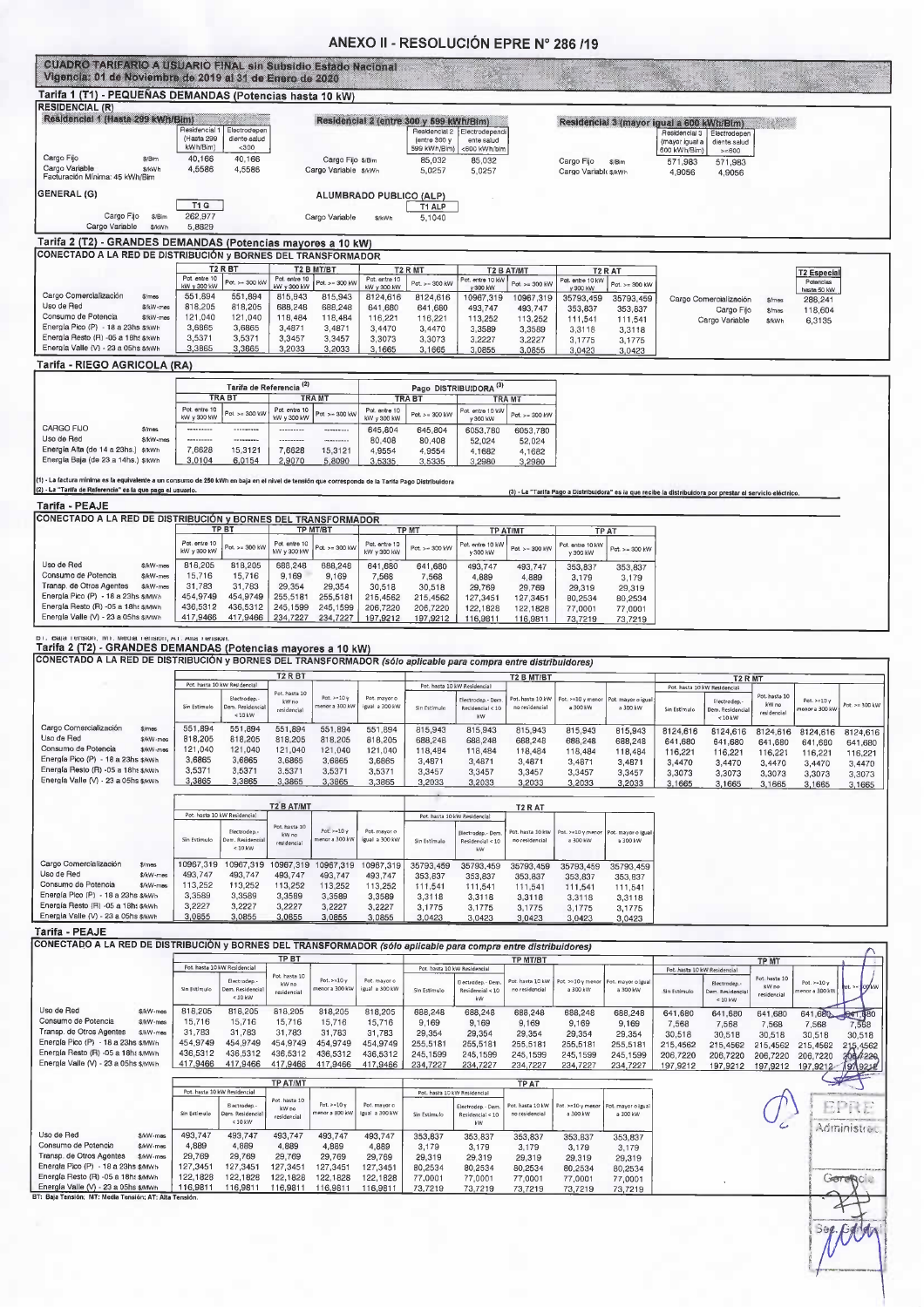#### ANEXO II - RESOLUCIÓN EPRE Nº 286 /19

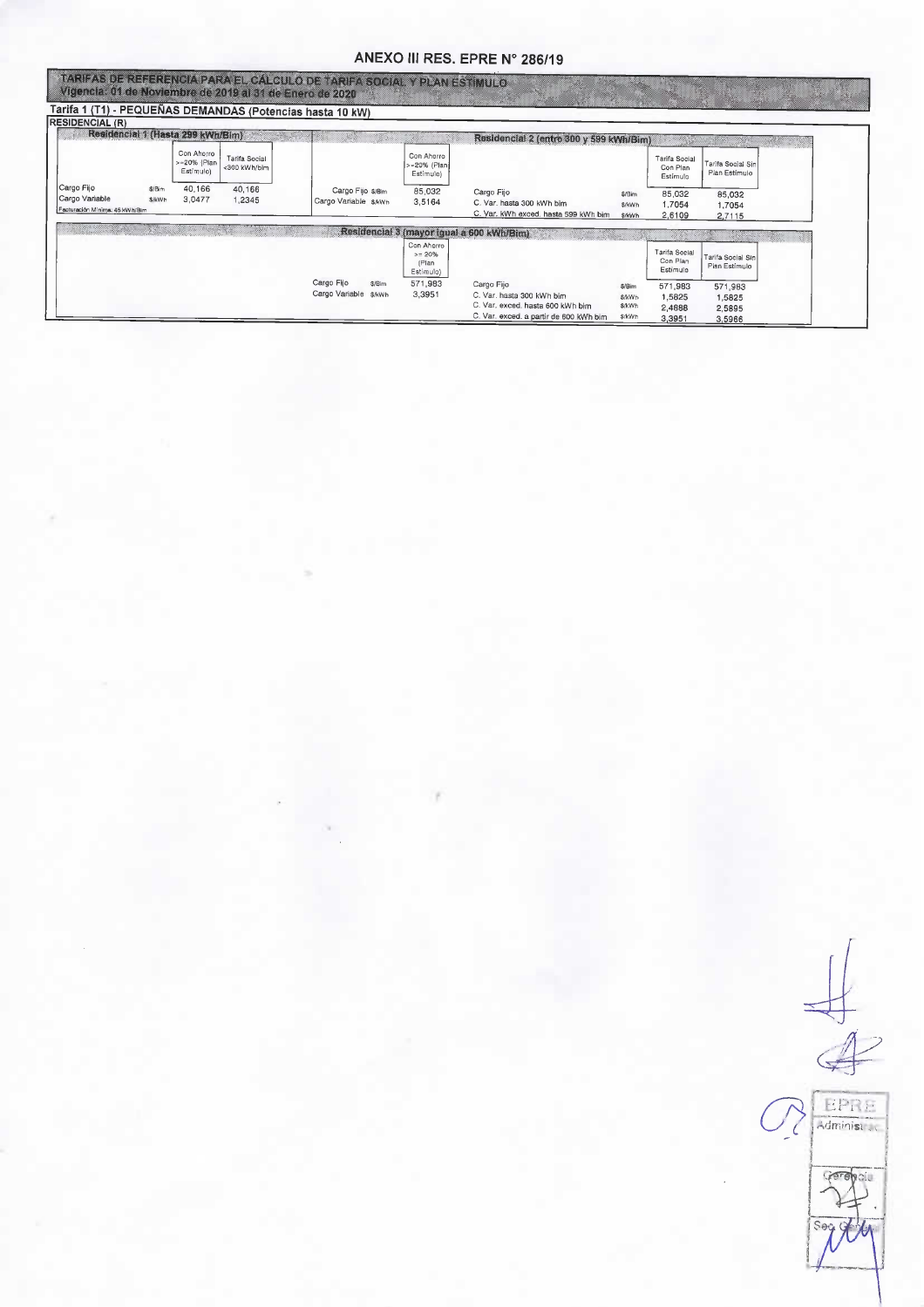## ANEXO III RES. EPRE Nº 286/19

| Vigencia: 01 de Noviembre de 2019 al 31 de Enero de 2020.      |                               |                                        |                               | TARIFAS DE REFERENCIA PARA EL CÁLCULO DE TARIFA SOCIAL Y PLAN ESTÍMULO. |                                               |                                                                                                                       |                                            |                                       |                                       |  |
|----------------------------------------------------------------|-------------------------------|----------------------------------------|-------------------------------|-------------------------------------------------------------------------|-----------------------------------------------|-----------------------------------------------------------------------------------------------------------------------|--------------------------------------------|---------------------------------------|---------------------------------------|--|
|                                                                |                               |                                        |                               | Tarifa 1 (T1) - PEQUEÑAS DEMANDAS (Potencias hasta 10 kW)               |                                               |                                                                                                                       |                                            |                                       |                                       |  |
| <b>RESIDENCIAL (R)</b>                                         |                               | Residencial 1 (Hasta 299 kWh/Bim)      |                               |                                                                         |                                               | Residencial 2 (entre 300 y 599 kWh/Bim)                                                                               |                                            |                                       |                                       |  |
|                                                                |                               | Con Ahorro<br>>=20% (Plan<br>Estimulo) | Tarifa Social<br><300 kWh/blm |                                                                         | Con Ahorro<br>>=20% (Plan)<br>Estimulo)       |                                                                                                                       |                                            | Tarifa Social<br>Con Plan<br>Estímulo | Tarifa Social Sin<br>Plan Estímulo    |  |
| Cargo Fijo<br>Cargo Variable<br>Facturación Mínima: 45 kWh/Bim | \$/Bim<br><b><i>SikWh</i></b> | 40,166<br>3,0477                       | 40.166<br>1,2345              | Cargo Fijo \$/Bim<br>Cargo Variable \$/kWh                              | 85,032<br>3,5164                              | Cargo Fijo<br>C. Var. hasta 300 kWh bim<br>C. Var. kWh exced. hasta 599 kWh bim                                       | \$/Bim<br>S/kWh<br>\$/kWh                  | 85,032<br>1.7054<br>2,6109            | 85,032<br>1.7054<br>2,7115            |  |
|                                                                |                               |                                        |                               |                                                                         |                                               | Residencial 3 (mayor Igual a 600 kWh/Bim)                                                                             |                                            |                                       |                                       |  |
|                                                                |                               |                                        |                               |                                                                         | Con Ahorro<br>$>= 20%$<br>(Plan)<br>Estimulo) |                                                                                                                       |                                            | Tarifa Social<br>Con Plan<br>Estimulo | Tarifa Social Sin<br>Plan Estímulo    |  |
|                                                                |                               |                                        |                               | Cargo Fijo<br>\$/Bim<br>Cargo Variable<br>\$/kWh                        | 571,983<br>3,3951                             | Cargo Fijo<br>C. Var. hasta 300 kWh bim<br>C. Var. exced. hasta 600 kWh bim<br>C. Var. exced. a partir de 600 kWh bim | \$/Bim<br><b>S/kWh</b><br>\$/kWh<br>\$/kWh | 571,983<br>1,5825<br>2,4888<br>3.3951 | 571,983<br>1,5825<br>2,5895<br>3,5966 |  |

 $\overline{\mathcal{L}}$ **EPRE**  $\epsilon$ CATE bi i Sec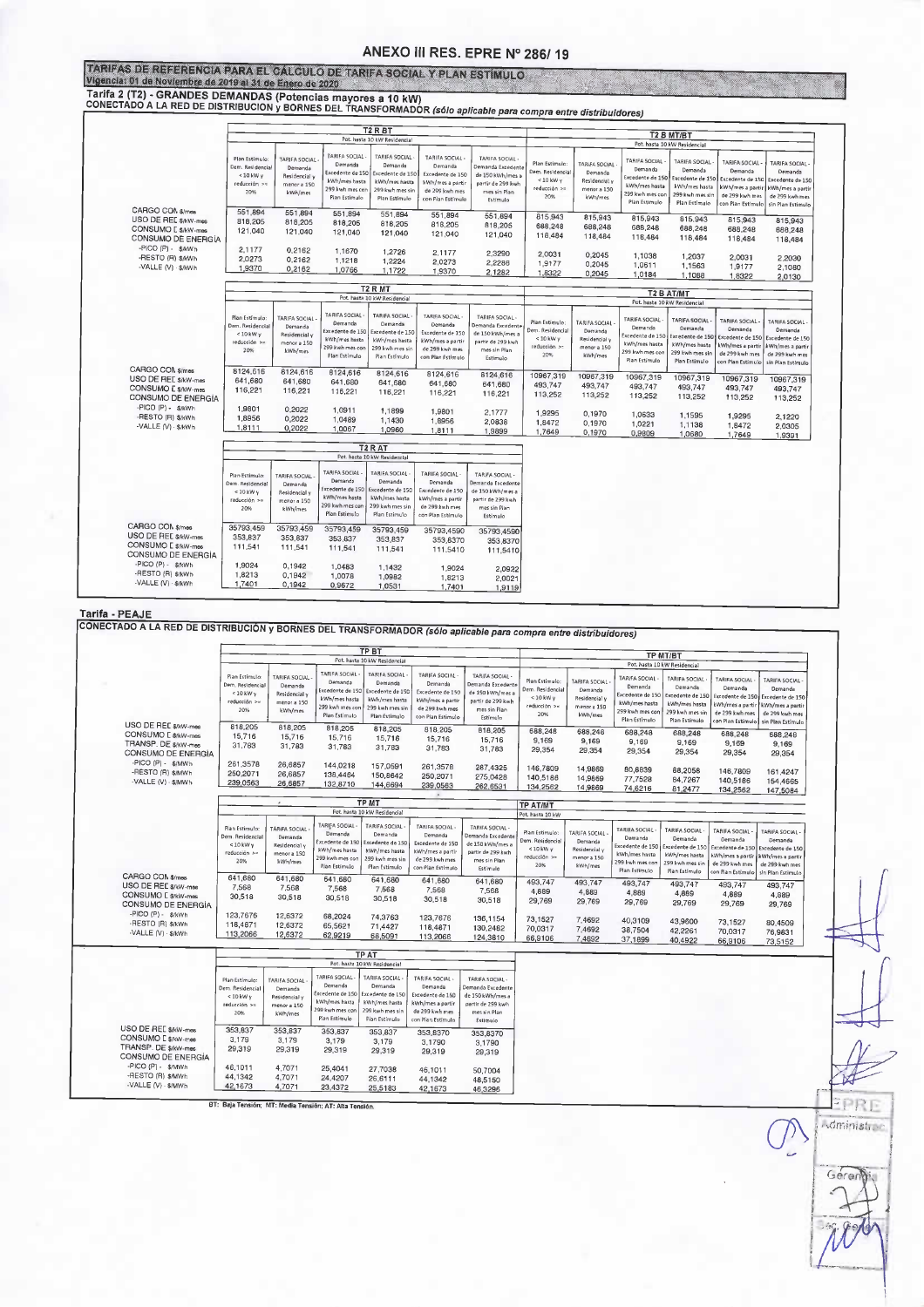#### ANEXO III RES. EPRE Nº 286/19

TARIFAS DE REFERENCIA PARA EL CÁLGULO DE TARIFA SOCIAL Y PLAN ESTÍMULO Vigencia: 01 de Noviembre de 2019 al 31 de Enero de 2020

Tarifa 2 (T2) - GRANDES DEMANDAS (Potencias mayores a 10 kW)<br>CONECTADO A LA RED DE DISTRIBUCION y BORNES DEL TRANSFORMADOR

|                      |                                    |                                         |                                                   | T <sub>2</sub> R <sub>BT</sub>                    |                                                     |                                                          |                                            |                                         |                                                      |                                                      |                                                       |                                                        |  |  |
|----------------------|------------------------------------|-----------------------------------------|---------------------------------------------------|---------------------------------------------------|-----------------------------------------------------|----------------------------------------------------------|--------------------------------------------|-----------------------------------------|------------------------------------------------------|------------------------------------------------------|-------------------------------------------------------|--------------------------------------------------------|--|--|
|                      |                                    |                                         |                                                   | Pot. hasta 10 kW Residencial                      |                                                     |                                                          | T2 B MT/BT<br>Pot. hasta 10 kW Residencial |                                         |                                                      |                                                      |                                                       |                                                        |  |  |
|                      |                                    |                                         |                                                   |                                                   |                                                     |                                                          |                                            |                                         |                                                      |                                                      |                                                       |                                                        |  |  |
|                      | Plan Estimulo<br>Dem. Residencial  | TARIFA SOCIAL<br>Demanda                | TARIFA SOCIAL-<br>Demanda<br>Excedente de 150     | TARIFA SOCIAL<br>Demanda<br>Excedente de 150      | <b>TARIFA SOCIAL</b><br>Demanda<br>Excedente de 150 | TARIFA SOCIAL -<br>Demanda Excedente<br>de 150 kWh/mes a | Plan Estimulo:<br>Dem. Residencial         | TARIFA SOCIAL<br>Demanda                | TARIFA SOCIAL<br>Demanda                             | TARIFA SOCIAL<br>Demanda                             | TARIFA SOCIAL-<br>Demanda                             | TARIFA SOCIAL-<br>Demanda                              |  |  |
|                      | $< 10$ kW y<br>reducción >=<br>20% | Residencial y<br>menor a 150<br>kWh/mes | kWh/mes hasta<br>299 kwh mes con<br>Plan Estimulo | kWh/mes hasta<br>299 kwh mes sin<br>Plan Estímulo | kWh/mes a partir<br>de 299 kwh mes                  | partir de 299 kwh<br>mes sin Plan                        | $< 10$ kW $V$<br>reducción >=<br>20%       | Residencial y<br>menor a 150<br>kWh/mes | Excedente de 150<br>kWh/mes hasta<br>299 kwh mes cor | Excedente de 150<br>kWh/mes hasta<br>299 kwh mes sin | Excedente de 150<br>Wh/mes a partir<br>de 299 kwh mes | Excedente de 150<br>kWh/mes a partir<br>de 299 kwh mes |  |  |
|                      |                                    |                                         |                                                   |                                                   | con Plan Estimulo                                   | Estimulo                                                 |                                            |                                         | Plan Estimulo                                        | Plan Estimulo                                        | on Pian Estímulo                                      | sin Plan Estimulo                                      |  |  |
| CARGO CON \$/mes     | 551,894                            | 551,894                                 | 551,894                                           | 551,894                                           | 551.894                                             | 551,894                                                  | 815,943                                    | 815,943                                 |                                                      |                                                      |                                                       |                                                        |  |  |
| USO DE REE \$/kW-mes | 818,205                            | 818,205                                 | 818.205                                           | 818,205                                           | 818,205                                             | 818,205                                                  | 688,248                                    |                                         | 815,943                                              | 815,943                                              | 815,943                                               | 815,943                                                |  |  |
| CONSUMO E \$/kW-mes  | 121,040                            | 121.040                                 | 121.040                                           | 121,040                                           | 121,040                                             | 121,040                                                  |                                            | 688,248                                 | 688,248                                              | 688,248                                              | 688,248                                               | 688,248                                                |  |  |
| CONSUMO DE ENERGÍA   |                                    |                                         |                                                   |                                                   |                                                     |                                                          | 118,484                                    | 118,484                                 | 118,484                                              | 118,484                                              | 118,484                                               | 118,484                                                |  |  |
| -PICO (P) - \$/kWh   | 2.1177                             | 0,2162                                  | 1,1670                                            | 1,2726                                            |                                                     |                                                          |                                            |                                         |                                                      |                                                      |                                                       |                                                        |  |  |
| -RESTO (R) \$/kWh    | 2,0273                             | 0,2162                                  | 1,1218                                            |                                                   | 2,1177                                              | 2,3290                                                   | 2,0031                                     | 0,2045                                  | 1,1038                                               | 1,2037                                               | 2,0031                                                | 2.2030                                                 |  |  |
| -VALLE (V) · \$/kWh  | 1,9370                             |                                         |                                                   | 1,2224                                            | 2,0273                                              | 2,2286                                                   | 1,9177                                     | 0,2045                                  | 1,0611                                               | 1,1563                                               | 1,9177                                                | 2,1080                                                 |  |  |
|                      |                                    | 0,2162                                  | 1,0766                                            | 1,1722                                            | 1,9370                                              | 2.1282                                                   | 1,8322                                     | 0,2045                                  | 1.0184                                               | 1,1088                                               | 1,8322                                                | 2,0130                                                 |  |  |
|                      |                                    |                                         |                                                   |                                                   |                                                     |                                                          |                                            |                                         |                                                      |                                                      |                                                       |                                                        |  |  |
|                      |                                    |                                         |                                                   | T <sub>2</sub> R MT                               |                                                     |                                                          |                                            |                                         | T2 B AT/MT                                           |                                                      |                                                       |                                                        |  |  |
|                      |                                    |                                         |                                                   | Pot. hasta 10 kW Residencial                      |                                                     |                                                          |                                            |                                         | Pot. hasta 10 kW Residencial                         |                                                      |                                                       |                                                        |  |  |
|                      | Plan Estimulo:                     | TARIFA SOCIAL                           | TARIFA SOCIAL-<br>Demanda                         | <b>TARIFA SOCIAL</b><br>Demanda                   | TARIFA SOCIAL<br>Demanda                            | <b>TARIFA SOCIAL-</b>                                    | Plan Estímulo:                             | TARIFA SOCIAL                           | <b>TARIFA SOCIAL</b>                                 | <b>TARIFA SOCIAL</b>                                 | <b>TARIFA SOCIAL</b>                                  | TARIFA SOCIAL                                          |  |  |
|                      | Dem. Residencial<br>$< 10$ kW y    | Demanda                                 | ixcedente de 150                                  | Excedente de 150                                  | Excedente de 150                                    | Demanda Excedent<br>de 150 kWh/mes a                     | Dem. Residencial                           | Demanda                                 | Demanda                                              | Demanda                                              | Demanda                                               | Demanda                                                |  |  |
|                      | reducción >=                       | Residencial y<br>menor a 150            | kWh/mes hasta                                     | kWh/mes hasta                                     | kWh/mes a partir                                    | partir de 299 kwh                                        | $< 10$ kW $\gamma$                         | Residencial v                           | ixcedente de 150                                     | Excedente de 150                                     | Excedente de 150                                      | Excedente de 150                                       |  |  |
|                      | 20%                                | kWh/mes                                 | 299 kwh mes con                                   | 299 kwh mes sin                                   | de 299 kwh mes                                      | mes sin Plan                                             | reducción >=                               | menor a 150                             | kWh/mes hasta                                        | kWh/mes hasta                                        | Wh/mes a partir                                       | Wh/mes a partir                                        |  |  |
|                      |                                    |                                         | Plan Estimulo                                     | Plan Estimulo                                     | con Plan Estimulo                                   | Estimulo                                                 | 20%                                        | kWh/mes                                 | 299 kwh mes con<br>Pian Estimulo                     | 299 kwh mes sin                                      | de 299 kwh mes                                        | de 299 kwh mes                                         |  |  |
| CARGO COM \$/mes     |                                    |                                         |                                                   |                                                   |                                                     |                                                          |                                            |                                         |                                                      | Plan Estimulo                                        | con Plan Estimulo                                     | sin Plan Estimulo                                      |  |  |
|                      | 8124,616                           | 8124.616                                | 8124,616                                          | 8124,616                                          | 8124.616                                            | 8124,616                                                 | 10967,319                                  | 10967,319                               | 10967,319                                            | 10967,319                                            | 10967.319                                             |                                                        |  |  |
| USO DE REE \$/kW-mes | 641,680                            | 641,680                                 | 641,680                                           | 641,680                                           | 641,680                                             | 641,680                                                  | 493.747                                    | 493,747                                 | 493.747                                              |                                                      |                                                       | 10967,319                                              |  |  |
| CONSUMO E \$/kW-mes  | 116,221                            | 116,221                                 | 116,221                                           | 116,221                                           | 116,221                                             | 116,221                                                  | 113,252                                    | 113,252                                 |                                                      | 493,747                                              | 493,747                                               | 493,747                                                |  |  |
| CONSUMO DE ENERGÍA   |                                    |                                         |                                                   |                                                   |                                                     |                                                          |                                            |                                         | 113,252                                              | 113,252                                              | 113,252                                               | 113,252                                                |  |  |
| -PICO (P) - \$/kWh   | 1,9801                             | 0,2022                                  | 1,0911                                            | 1,1899                                            | 1,9801                                              | 2.1777                                                   |                                            |                                         |                                                      |                                                      |                                                       |                                                        |  |  |
| -RESTO (R) \$/kWh    | 1,8956                             | 0,2022                                  | 1,0489                                            | 1,1430                                            | 1.8956                                              |                                                          | 1,9295                                     | 0,1970                                  | 1,0633                                               | 1,1595                                               | 1,9295                                                | 2,1220                                                 |  |  |
| -VALLE (V) · \$/kWh  | 1,8111                             | 0,2022                                  | 1,0067                                            | 1,0960                                            |                                                     | 2.0838                                                   | 1,8472                                     | 0,1970                                  | 1,0221                                               | 1,1138                                               | 1,8472                                                | 2,0305                                                 |  |  |
|                      |                                    |                                         |                                                   |                                                   | 1,8111                                              | 1,9899                                                   | 1,7649                                     | 0,1970                                  | 0,9809                                               | 1,0680                                               | 1,7649                                                | 1,9391                                                 |  |  |
|                      |                                    |                                         |                                                   | T <sub>2</sub> R <sub>AT</sub>                    |                                                     |                                                          |                                            |                                         |                                                      |                                                      |                                                       |                                                        |  |  |
|                      |                                    |                                         |                                                   | Pot. hasta 10 kW Residencial                      |                                                     |                                                          |                                            |                                         |                                                      |                                                      |                                                       |                                                        |  |  |
|                      |                                    |                                         | TARIFA SOCIAL                                     | <b>TARIFA SOCIAL</b>                              | TARIFA SOCIAL                                       | TARIFA SOCIAL                                            |                                            |                                         |                                                      |                                                      |                                                       |                                                        |  |  |
|                      | Plan Estimulo:                     | TARIFA SOCIAL-                          | Demanda                                           | Demanda                                           | Demanda                                             | Demanda Excedente                                        |                                            |                                         |                                                      |                                                      |                                                       |                                                        |  |  |
|                      | Dem. Residencial                   | Demanda                                 | xcedente de 150                                   | Excedente de 150                                  | Excedente de 150                                    | de 150 kWh/mes a                                         |                                            |                                         |                                                      |                                                      |                                                       |                                                        |  |  |
|                      | $< 10$ kW y<br>reducción >=        | Residencial y                           | kWh/mes hasta                                     | kWh/mes hasta                                     | kWh/mes a partir                                    | partir de 299 kwh                                        |                                            |                                         |                                                      |                                                      |                                                       |                                                        |  |  |
|                      | 20%                                | menor a 150<br>kWh/mes                  | 299 kwh mes con                                   | 299 kwh mes sin                                   | de 299 kwh mes                                      | mes sin Plan                                             |                                            |                                         |                                                      |                                                      |                                                       |                                                        |  |  |
|                      |                                    |                                         | Plan Estimulo                                     | Plan Estimulo                                     | con Plan Estimulo                                   | Estimulo                                                 |                                            |                                         |                                                      |                                                      |                                                       |                                                        |  |  |
| CARGO CON \$/mes     | 35793,459                          | 35793,459                               |                                                   |                                                   |                                                     |                                                          |                                            |                                         |                                                      |                                                      |                                                       |                                                        |  |  |
| USO DE REE \$/kW-mes | 353,837                            |                                         | 35793,459                                         | 35793,459                                         | 35793,4590                                          | 35793.4590                                               |                                            |                                         |                                                      |                                                      |                                                       |                                                        |  |  |
| CONSUMO E \$/kW-mes  |                                    | 353,837                                 | 353,837                                           | 353,837                                           | 353.8370                                            | 353,8370                                                 |                                            |                                         |                                                      |                                                      |                                                       |                                                        |  |  |
| CONSUMO DE ENERGÍA   | 111,541                            | 111,541                                 | 111,541                                           | 111,541                                           | 111,5410                                            | 111,5410                                                 |                                            |                                         |                                                      |                                                      |                                                       |                                                        |  |  |
| -PICO (P) - \$/kWh   | 1,9024                             | 0,1942                                  | 1,0483                                            | 1,1432                                            | 1,9024                                              | 2,0922                                                   |                                            |                                         |                                                      |                                                      |                                                       |                                                        |  |  |
| -RESTO (R) \$/kWh    | 1,8213                             | 0,1942                                  | 1,0078                                            | 1,0982                                            | 1,8213                                              | 2,0021                                                   |                                            |                                         |                                                      |                                                      |                                                       |                                                        |  |  |
| -VALLE (V) · \$/kWh  | 1,7401                             | 0,1942                                  |                                                   |                                                   |                                                     |                                                          |                                            |                                         |                                                      |                                                      |                                                       |                                                        |  |  |

Tarifa - PEAJE

TONECTADO A LA RED DE DISTRIBUCIÓN y BORNES DEL TRANSFORMADOR (sólo aplicable para compra entre distribuídores) **TP BT** TP MT/BT Pot. hasta 10 kW Residenci Pot. hasta  $\overline{\phantom{a}}$ TARIFA SOCIAL TARIFA SOCIAL TARIFA SOCIAL<br>Demanda<br>Excedente de 150 TARIFA SOCIAL<br>Demanda Excede<br>de 150 kWh/mes<br>partir de 299 kw TARIFA SOCIAL<br>Demanda<br>Excedente de 150<br>KWh/mes a partii<br>de 299 kwh mes<br>sin Plan Estimule **Plan Estimul** TARIFA SOCIA Plan Estimulo<br>Dem. Residenci<br>< 10 kW y<br>reducción >=<br>20% TARIFA SOCIAL TARIFA SOCIAL **TARIFA SOCIAL TARIFA SOCIAL** Demanda<br>:edente de 15 Dem ... em, Residenci<br>< 10 kW y Demanda Demanda Demanda nirx social<br>Demanda<br>edente de 15 Demanda<br>Residencial y<br>menor a 150<br>kWh/mes cedente de 15 Residencial<br>menor a 150<br>kWh/mes 150 kWh/me<br>Irtir de 299 kv<br>mes sín Plan<br>Estímulo edente de 15 edente de 15 kWh/mes hasta<br>299 kwh mes co<br>Plan Estimulo kWh/mes hasta<br>299 kwh mes sii<br>Plan Estimulo excedente de 15<br>kWh/mes a parti<br>de 299 kwh mes<br>con Plan Estimul sxcedente de 150<br>kWh/mes hasta<br>299 kwh mes con kWh/mes hasta k<br>Wh/mes a part<br>de 299 kwh me aucción<br>20% 299 kwh mes sir<br>Plan Estímulo Plan Estimu USO DE REE \$/kW-mee 818,205 818.205 818,205 818,205 688,248<br>9,169<br>29,354 818.205 688,248 818 205 **688 248** 688,248 688,248 15,716<br>31,783 CONSUMO [ \$/kW-mes<br>TRANSP. DF \$/kW-mes 15,716<br>31,783 688,248 15,716<br>31,783  $9,169$ <br> $29,354$ 15,716<br>31,783 15,716 15,716<br>31,783 9,169  $9,169$ 9.169 31.783 CONSUMO DE ENERGÍA 29,354 29,354 29.354 29,354 UNSUMODE ENE<br>PICO (P) - \$/MWh<br>PESTO (R) \$/MWh<br>VALLE (V) -\$/MWh 261,3576 261,3578<br>250,2071<br>239,0563 287,4325<br>275,0428<br>262,6531 26.6857 144 0218 157.0591 146,7809 146,7809<br>140,5186<br>134,2562 14,9869 80.8839 **88.2058** 161,4247<br>154,4665 250,2071 26,6857 138 4464 150,8642 140,5186 14,9869 77 7528 84,7267<br>81,2477 239,0563 26,6857 132,8710 144,6694 134,2562 14,9869 74,6216 147,5084 TP M<sub>7</sub> TP AT/MT Pot. hasta W Residenci Pian Estimu<br>Dem. Resider<br>< 10 kW y TARIFA SOCIAL TARIFA SOCIAL TARIFA SOCIAL -<br>TARIFA SOCIAL<br>Iemanda Excede TARIFA SOCIAL TARIFA SOCIAL<br>Demanda<br>Excedente de 15<br>kWh/mes hasta<br>299 kwh mes co Plan Estimulo<br>Dem. Residenc<br>< 10 kW y<br>reducción >><br>20% FARIFA SOCIAL<br>Demanda<br>Residencial y TARIFA SOCIAL TARIFA SOCIAL TARIFA SOCIAL Demanda<br>Cxcedente de 15<br>Excedente de 15<br>NWh/mes hasta<br>Plan Estimulo Demanda<br>cedente de Demanda<br>Excedente de 150 Demanda<br>Residencial<br>menor a 150<br>kWh/mes Demanda<br>:edente de 15 Demanda<br>:edente de 150 Demand de 150 kWh/mer Excedente de 150 kWh/mes a partir<br>de 299 kwh mes<br>con Plan Estimulo reducción kWh/mes ha<br>199 kwh mes<br>Plan Estimu partir de 299 kw kWh/mes hast<br>299 kwh mes si<br>Plan Estimulo xcedente de 13<br>Wh/mes a part<br>de 299 kwh me<br>on Pian Estimul excedente de 15<br>kWh/mes a part<br>de 299 kwh me<br>sin Plan Estimul menor a 150<br>kWh/mes  $20%$ mes sin Plan<br>Estimulo **Plan Estimul** CARGO CON \$/mes<br>USO DE REE \$/kW-mer 641,680 641,680 641,680<br>7,568<br>30,518 641,680<br>7,568 641,680 641,680 493,747 493,747<br>4,889<br>29,769 493.747 493 747  $493747$ 493,747 7.568 7.568  $7588$ 4,889  $4,889$ <br>29,769 7,568 4.889 4.889 CONSUMO E \$/kW-mes<br>CONSUMO DE ENERGÍA 4,889  $30.518$  $30,518$  $30,518$ 30,518 30.518 29,769 29.769 29,769 -PICO (P) - \$/kWh<br>-RESTO (R) \$/kWh<br>-VALLE (V) - \$/kWh 123,7676<br>118,4871<br>113,2066 12,6372<br>12,6372 68,2024 74,3763 123.7676 136.1154 73,1527<br>70,0317 7,4692<br>7,4692 40,3109<br>38,7504 43,9600 73.1527 80.4509 130, 1134<br>130, 2482<br>124, 3810 65,5621 71.4427 118 4871 42,2261 70.0317 76 983 12,6372 62,9219 68,5091 113,2066 66,9106 7,4692 37,1899 40.4922 66,9106 73,5152 **TP AT** Pot. ha V Residenc TARIFA SOCIAL<br>Demanda<br>Excedente de 15<br>kWh/mes hasta **TARIFA SOCIAL** TARIFA SOCIAL<br>Demanda .<br>Plan Estímulo<br>Dem. Residenc TARIFA SOCIAL TARIFA SOCIAL Demanda<br>Demanda<br>Excedente de 1!<br>RWh/mes hast.<br>Plan Estimulo Demanda<br>Excedente de 150<br>Excedente de 150<br>MVh/mes a partir<br>Con Plan Estimulo Demanda Excelent<br>de 150 kWh/mes a<br>partir de 299 kwh  $40$  kW  $\mu$ reducción<br>20% menor a 150<br>kWh/mes serymes na<br>99 kwh mes mes sin Plan<br>Estimulo Plan Estimo USO DE REE \$/kW-mes<br>CONSUMO E \$/kW-mes<br>TRANSP. DE \$/kW-mes 353,83 353,837 353.837 353.837 353.8370 353,8370 3.179 3 1 7 9  $3,179$ <br> $29,319$  $3,179$ <br> $29,319$ 330,007<br>3,1790<br>29,319 3,1790<br>29,319 29.319 29.319 CONSUMO DE ENFRGÍA PICO (P) - \$/MWh<br>-RESTO (R) \$/MWh<br>-VALLE (V) - \$/MWh 46,1011<br>44,1342 4,7071<br>4,7071 25,4041<br>24,4207 27,7038<br>26,6111 46.1011 50.7004

44.1342

42,1673

48.5150

46,3296

EPRE

**Soministice** 

Gerenti:

4,7071 BT: Baja Tensión; MT: Media Tensión; AT: Alta Te

23,4372

25.5183

42,1673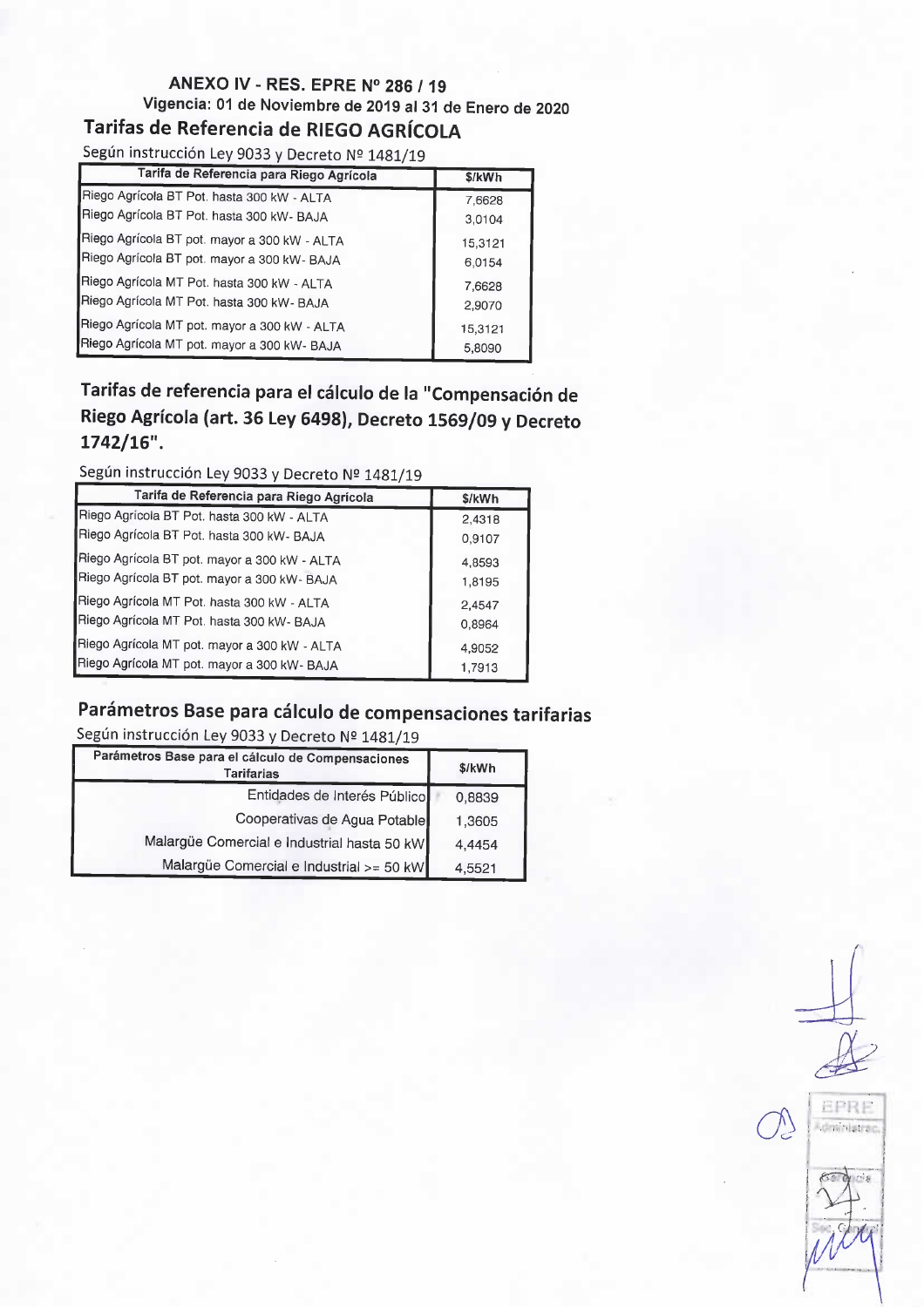# ANEXO IV -RES. EPRE N° 286 / 19 Vigencia: 01 de Noviembre de 2019 al 31 de Enero de 2020

# Tarifas de Referencia de RIEGO AGRÍCOLA

Según instrucción Ley 9033 y Decreto Nº 1481/19

| Tarifa de Referencia para Riego Agrícola     | \$/kWh  |
|----------------------------------------------|---------|
| Riego Agrícola BT Pot. hasta 300 kW - ALTA   | 7,6628  |
| Riego Agrícola BT Pot. hasta 300 kW- BAJA    | 3,0104  |
| Riego Agrícola BT pot. mayor a 300 kW - ALTA | 15,3121 |
| Riego Agrícola BT pot. mayor a 300 kW- BAJA  | 6.0154  |
| Riego Agrícola MT Pot. hasta 300 kW - ALTA   | 7,6628  |
| Riego Agrícola MT Pot. hasta 300 kW- BAJA    | 2,9070  |
| Riego Agrícola MT pot. mayor a 300 kW - ALTA | 15,3121 |
| Riego Agrícola MT pot. mayor a 300 kW- BAJA  | 5,8090  |

## Tarifas de referencia para el cálculo de la "Compensación de Riego Agrícola (art. 36 Ley 6498), Decreto 1569/09 y Decreto  $1742/16"$ .

Según instrucción Ley 9033 y Decreto № 1481/19

| Tarifa de Referencia para Riego Agrícola     | \$/kWh |
|----------------------------------------------|--------|
| Riego Agrícola BT Pot. hasta 300 kW - ALTA   | 2,4318 |
| Riego Agrícola BT Pot. hasta 300 kW- BAJA    | 0,9107 |
| Riego Agrícola BT pot. mayor a 300 kW - ALTA | 4,8593 |
| Riego Agrícola BT pot. mayor a 300 kW- BAJA  | 1,8195 |
| Riego Agrícola MT Pot. hasta 300 kW - ALTA   | 2,4547 |
| Riego Agrícola MT Pot. hasta 300 kW- BAJA    | 0,8964 |
| Riego Agrícola MT pot. mayor a 300 kW - ALTA | 4,9052 |
| Riego Agrícola MT pot. mayor a 300 kW- BAJA  | 1,7913 |

# Parámetros Base para cálculo de compensaciones tarifarias

Según instrucción Ley 9033 y Decreto № 1481/19

| Parámetros Base para el cálculo de Compensaciones<br><b>Tarifarias</b> | \$/kWh |
|------------------------------------------------------------------------|--------|
| Entidades de Interés Público                                           | 0,8839 |
| Cooperativas de Agua Potable                                           | 1,3605 |
| Malargüe Comercial e Industrial hasta 50 kW                            | 4,4454 |
| Malargüe Comercial e Industrial >= 50 kW                               | 4,5521 |